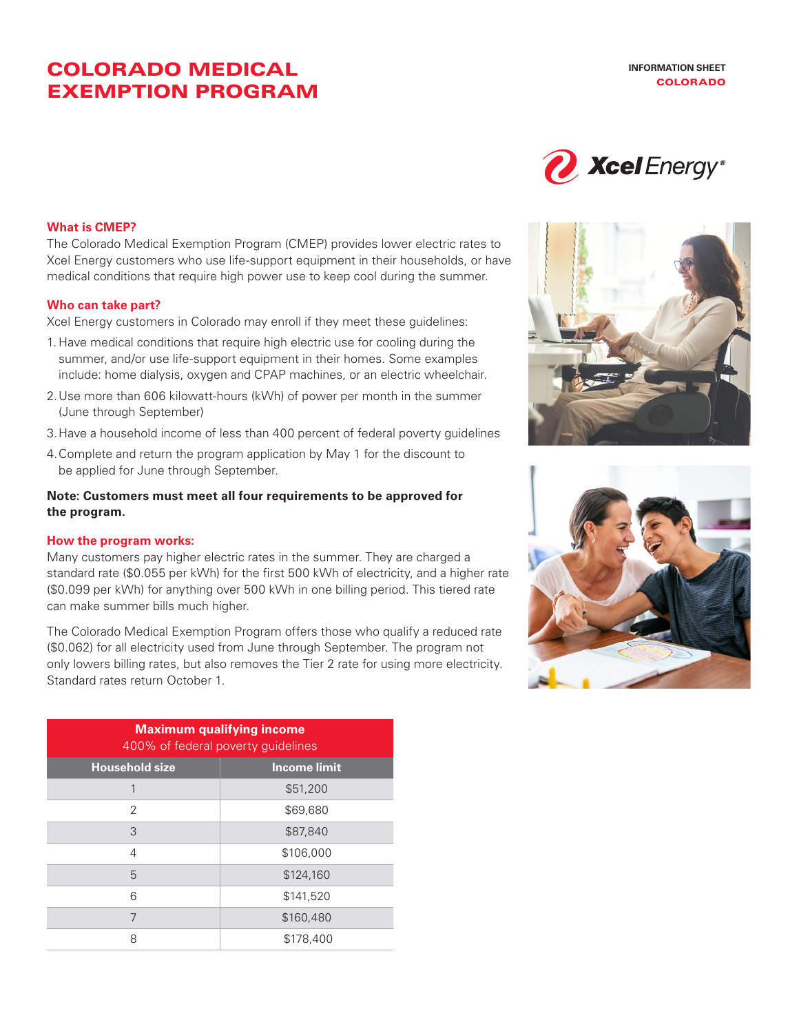## COLORADO MEDICAL EXEMPTION PROGRAM



#### **What is CMEP?**

The Colorado Medical Exemption Program (CMEP) provides lower electric rates to Xcel Energy customers who use life-support equipment in their households, or have medical conditions that require high power use to keep cool during the summer.

#### **Who can take part?**

Xcel Energy customers in Colorado may enroll if they meet these guidelines:

- 1. Have medical conditions that require high electric use for cooling during the summer, and/or use life-support equipment in their homes. Some examples include: home dialysis, oxygen and CPAP machines, or an electric wheelchair.
- 2.Use more than 606 kilowatt-hours (kWh) of power per month in the summer (June through September)
- 3.Have a household income of less than 400 percent of federal poverty guidelines
- 4.Complete and return the program application by May 1 for the discount to be applied for June through September.

#### **Note: Customers must meet all four requirements to be approved for the program.**

#### **How the program works:**

Many customers pay higher electric rates in the summer. They are charged a standard rate (\$0.055 per kWh) for the first 500 kWh of electricity, and a higher rate (\$0.099 per kWh) for anything over 500 kWh in one billing period. This tiered rate can make summer bills much higher.

The Colorado Medical Exemption Program offers those who qualify a reduced rate (\$0.062) for all electricity used from June through September. The program not only lowers billing rates, but also removes the Tier 2 rate for using more electricity. Standard rates return October 1.

| <b>Maximum qualifying income</b><br>400% of federal poverty guidelines |                     |  |  |
|------------------------------------------------------------------------|---------------------|--|--|
| <b>Household size</b>                                                  | <b>Income limit</b> |  |  |
| 1                                                                      | \$51,200            |  |  |
| 2                                                                      | \$69,680            |  |  |
| 3                                                                      | \$87,840            |  |  |
| 4                                                                      | \$106,000           |  |  |
| 5                                                                      | \$124,160           |  |  |
| 6                                                                      | \$141,520           |  |  |
| 7                                                                      | \$160,480           |  |  |
| 8                                                                      | \$178,400           |  |  |



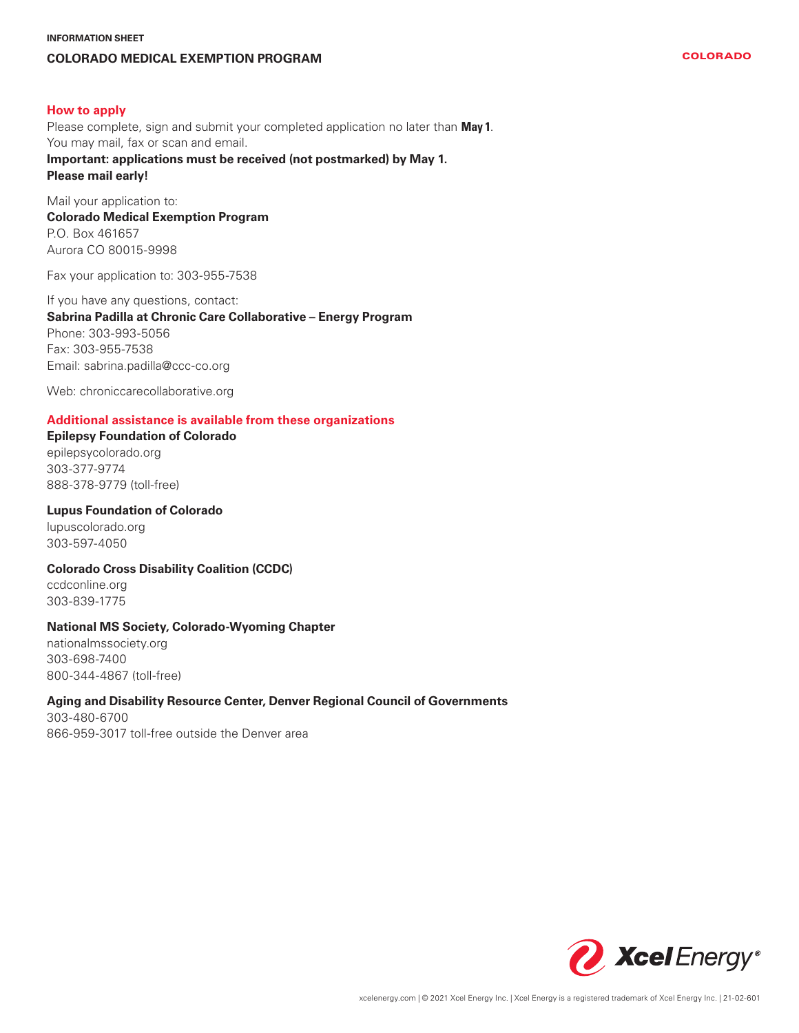## **INFORMATION SHEET COLORADO MEDICAL EXEMPTION PROGRAM**

#### **How to apply**

Please complete, sign and submit your completed application no later than **May 1**. You may mail, fax or scan and email. **Important: applications must be received (not postmarked) by May 1.** 

#### **Please mail early!**

Mail your application to: **Colorado Medical Exemption Program** P.O. Box 461657 Aurora CO 80015-9998

Fax your application to: 303-955-7538

### If you have any questions, contact: **Sabrina Padilla at Chronic Care Collaborative – Energy Program** Phone: 303-993-5056 Fax: 303-955-7538 Email: sabrina.padilla@ccc-co.org

Web: chroniccarecollaborative.org

#### **Additional assistance is available from these organizations**

#### **Epilepsy Foundation of Colorado**

epilepsycolorado.org 303-377-9774 888-378-9779 (toll-free)

#### **Lupus Foundation of Colorado**

lupuscolorado.org 303-597-4050

#### **Colorado Cross Disability Coalition (CCDC)**

ccdconline.org 303-839-1775

#### **National MS Society, Colorado-Wyoming Chapter**

nationalmssociety.org 303-698-7400 800-344-4867 (toll-free)

#### **Aging and Disability Resource Center, Denver Regional Council of Governments**

303-480-6700 866-959-3017 toll-free outside the Denver area

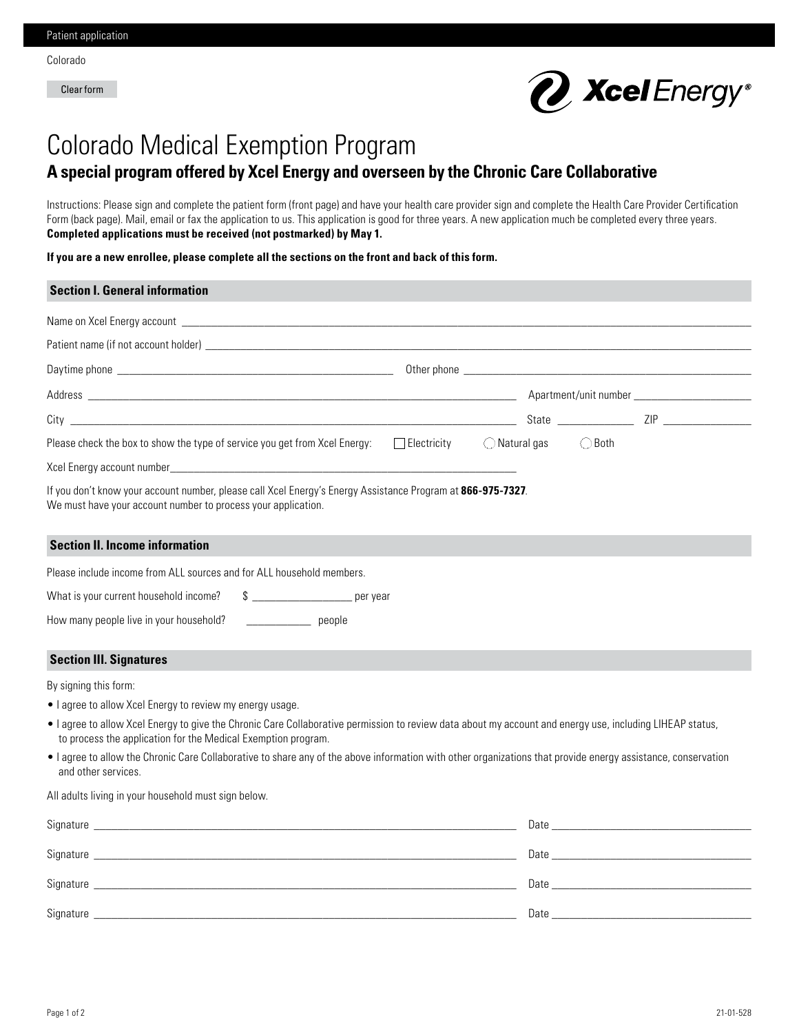Clear form



# Colorado Medical Exemption Program **A special program offered by Xcel Energy and overseen by the Chronic Care Collaborative**

Instructions: Please sign and complete the patient form (front page) and have your health care provider sign and complete the Health Care Provider Certification Form (back page). Mail, email or fax the application to us. This application is good for three years. A new application much be completed every three years. **Completed applications must be received (not postmarked) by May 1.**

**If you are a new enrollee, please complete all the sections on the front and back of this form.**

| <b>Section I. General information</b>                                                                                                                                                                                      |                                                                                                                                                                                                                                |  |  |  |  |
|----------------------------------------------------------------------------------------------------------------------------------------------------------------------------------------------------------------------------|--------------------------------------------------------------------------------------------------------------------------------------------------------------------------------------------------------------------------------|--|--|--|--|
|                                                                                                                                                                                                                            |                                                                                                                                                                                                                                |  |  |  |  |
|                                                                                                                                                                                                                            |                                                                                                                                                                                                                                |  |  |  |  |
|                                                                                                                                                                                                                            |                                                                                                                                                                                                                                |  |  |  |  |
|                                                                                                                                                                                                                            |                                                                                                                                                                                                                                |  |  |  |  |
|                                                                                                                                                                                                                            |                                                                                                                                                                                                                                |  |  |  |  |
| Please check the box to show the type of service you get from Xcel Energy:<br>$\Box$ Electricity                                                                                                                           | $\bigcirc$ Natural gas<br>$\bigcirc$ Both                                                                                                                                                                                      |  |  |  |  |
|                                                                                                                                                                                                                            |                                                                                                                                                                                                                                |  |  |  |  |
| If you don't know your account number, please call Xcel Energy's Energy Assistance Program at 866-975-7327.<br>We must have your account number to process your application.                                               |                                                                                                                                                                                                                                |  |  |  |  |
| <b>Section II. Income information</b>                                                                                                                                                                                      |                                                                                                                                                                                                                                |  |  |  |  |
| Please include income from ALL sources and for ALL household members.                                                                                                                                                      |                                                                                                                                                                                                                                |  |  |  |  |
| What is your current household income?<br>$\frac{1}{2}$ per year                                                                                                                                                           |                                                                                                                                                                                                                                |  |  |  |  |
| How many people live in your household?<br><u>people</u>                                                                                                                                                                   |                                                                                                                                                                                                                                |  |  |  |  |
| <b>Section III. Signatures</b>                                                                                                                                                                                             |                                                                                                                                                                                                                                |  |  |  |  |
| By signing this form:                                                                                                                                                                                                      |                                                                                                                                                                                                                                |  |  |  |  |
| • I agree to allow Xcel Energy to review my energy usage.                                                                                                                                                                  |                                                                                                                                                                                                                                |  |  |  |  |
| . I agree to allow Xcel Energy to give the Chronic Care Collaborative permission to review data about my account and energy use, including LIHEAP status,<br>to process the application for the Medical Exemption program. |                                                                                                                                                                                                                                |  |  |  |  |
| • I agree to allow the Chronic Care Collaborative to share any of the above information with other organizations that provide energy assistance, conservation<br>and other services.                                       |                                                                                                                                                                                                                                |  |  |  |  |
| All adults living in your household must sign below.                                                                                                                                                                       |                                                                                                                                                                                                                                |  |  |  |  |
|                                                                                                                                                                                                                            | Date and the contract of the contract of the contract of the contract of the contract of the contract of the contract of the contract of the contract of the contract of the contract of the contract of the contract of the c |  |  |  |  |
|                                                                                                                                                                                                                            |                                                                                                                                                                                                                                |  |  |  |  |

 $\text{Signature}$   $\text{\_}$ 

Signature \_\_\_\_\_\_\_\_\_\_\_\_\_\_\_\_\_\_\_\_\_\_\_\_\_\_\_\_\_\_\_\_\_\_\_\_\_\_\_\_\_\_\_\_\_\_\_\_\_\_\_\_\_\_\_\_\_\_\_\_\_\_\_\_\_\_\_\_\_\_\_\_ Date \_\_\_\_\_\_\_\_\_\_\_\_\_\_\_\_\_\_\_\_\_\_\_\_\_\_\_\_\_\_\_\_\_\_